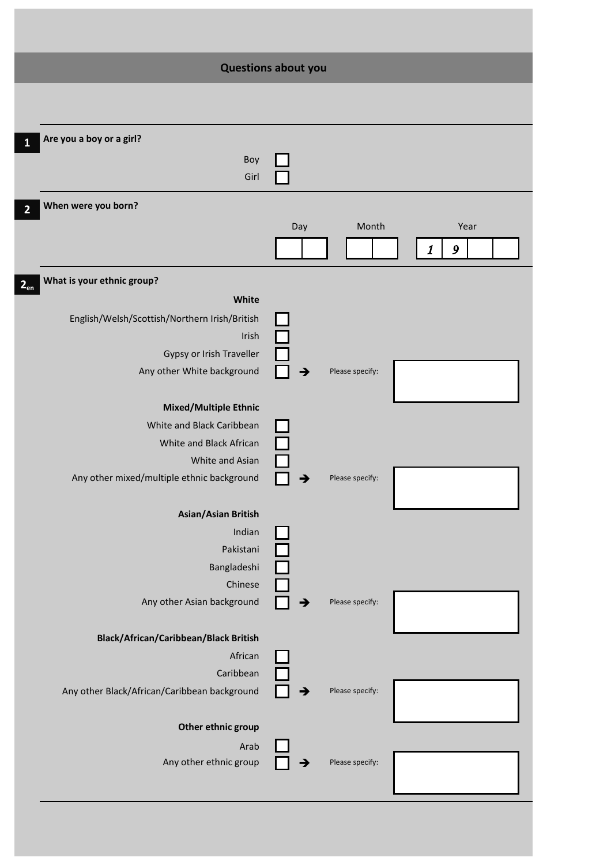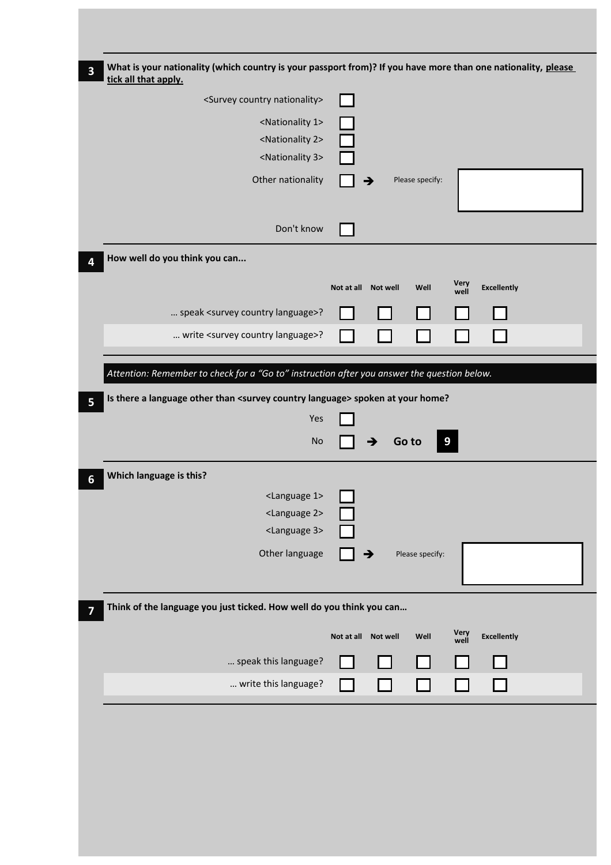| What is your nationality (which country is your passport from)? If you have more than one nationality, please<br>tick all that apply. |                                                                   |
|---------------------------------------------------------------------------------------------------------------------------------------|-------------------------------------------------------------------|
| <survey country="" nationality=""></survey>                                                                                           |                                                                   |
| <nationality 1=""></nationality>                                                                                                      |                                                                   |
| <nationality 2=""></nationality>                                                                                                      |                                                                   |
| <nationality 3=""></nationality>                                                                                                      |                                                                   |
| Other nationality                                                                                                                     | Please specify:<br>→                                              |
|                                                                                                                                       |                                                                   |
| Don't know                                                                                                                            |                                                                   |
| How well do you think you can                                                                                                         |                                                                   |
|                                                                                                                                       |                                                                   |
|                                                                                                                                       | Very<br>well<br><b>Excellently</b><br>Not at all Not well<br>Well |
| speak <survey country="" language="">?</survey>                                                                                       |                                                                   |
| write <survey country="" language="">?</survey>                                                                                       |                                                                   |
|                                                                                                                                       |                                                                   |
| Attention: Remember to check for a "Go to" instruction after you answer the question below.                                           |                                                                   |
| Is there a language other than <survey country="" language=""> spoken at your home?</survey>                                          |                                                                   |
|                                                                                                                                       |                                                                   |
| Yes                                                                                                                                   |                                                                   |
| No                                                                                                                                    | Go to<br>9                                                        |
|                                                                                                                                       |                                                                   |
| Which language is this?                                                                                                               |                                                                   |
| <language 1=""></language>                                                                                                            |                                                                   |
| <language 2=""></language>                                                                                                            |                                                                   |
| <language 3=""></language>                                                                                                            |                                                                   |
| Other language                                                                                                                        | Please specify:<br>→                                              |
|                                                                                                                                       |                                                                   |
| Think of the language you just ticked. How well do you think you can                                                                  |                                                                   |
|                                                                                                                                       | <b>Excellently</b><br>Not at all Not well<br>Well                 |
|                                                                                                                                       | Very<br>well                                                      |
| speak this language?<br>write this language?                                                                                          |                                                                   |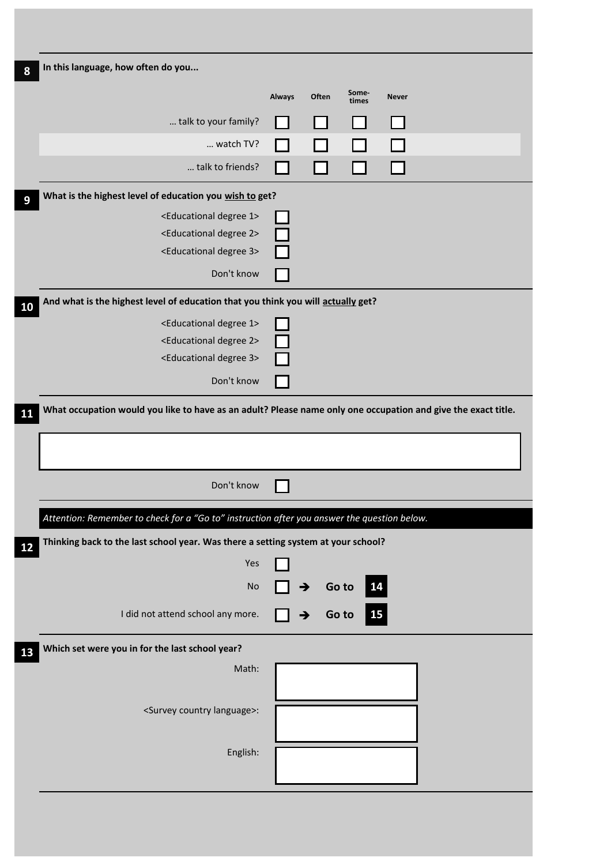| In this language, how often do you                                                                                                                                                                                                                                                                                                                               |               |       |                |              |  |
|------------------------------------------------------------------------------------------------------------------------------------------------------------------------------------------------------------------------------------------------------------------------------------------------------------------------------------------------------------------|---------------|-------|----------------|--------------|--|
|                                                                                                                                                                                                                                                                                                                                                                  | <b>Always</b> | Often | Some-<br>times | <b>Never</b> |  |
| talk to your family?                                                                                                                                                                                                                                                                                                                                             |               |       |                |              |  |
| watch TV?                                                                                                                                                                                                                                                                                                                                                        |               |       |                |              |  |
| talk to friends?                                                                                                                                                                                                                                                                                                                                                 |               |       |                |              |  |
| What is the highest level of education you wish to get?                                                                                                                                                                                                                                                                                                          |               |       |                |              |  |
| <educational 1="" degree=""></educational>                                                                                                                                                                                                                                                                                                                       |               |       |                |              |  |
| <educational 2="" degree=""></educational>                                                                                                                                                                                                                                                                                                                       |               |       |                |              |  |
| <educational 3="" degree=""></educational>                                                                                                                                                                                                                                                                                                                       |               |       |                |              |  |
| Don't know                                                                                                                                                                                                                                                                                                                                                       |               |       |                |              |  |
| And what is the highest level of education that you think you will actually get?                                                                                                                                                                                                                                                                                 |               |       |                |              |  |
| <educational 1="" degree=""></educational>                                                                                                                                                                                                                                                                                                                       |               |       |                |              |  |
| <educational 2="" degree=""></educational>                                                                                                                                                                                                                                                                                                                       |               |       |                |              |  |
| <educational 3="" degree=""></educational>                                                                                                                                                                                                                                                                                                                       |               |       |                |              |  |
|                                                                                                                                                                                                                                                                                                                                                                  |               |       |                |              |  |
| Don't know                                                                                                                                                                                                                                                                                                                                                       |               |       |                |              |  |
|                                                                                                                                                                                                                                                                                                                                                                  |               |       |                |              |  |
| Don't know                                                                                                                                                                                                                                                                                                                                                       |               |       |                |              |  |
|                                                                                                                                                                                                                                                                                                                                                                  |               |       |                |              |  |
|                                                                                                                                                                                                                                                                                                                                                                  |               |       |                |              |  |
| Yes                                                                                                                                                                                                                                                                                                                                                              |               |       |                |              |  |
| No                                                                                                                                                                                                                                                                                                                                                               |               | →     | 14<br>Go to    |              |  |
| I did not attend school any more.                                                                                                                                                                                                                                                                                                                                |               | →     | 15<br>Go to    |              |  |
|                                                                                                                                                                                                                                                                                                                                                                  |               |       |                |              |  |
| Math:                                                                                                                                                                                                                                                                                                                                                            |               |       |                |              |  |
|                                                                                                                                                                                                                                                                                                                                                                  |               |       |                |              |  |
| <survey country="" language="">:</survey>                                                                                                                                                                                                                                                                                                                        |               |       |                |              |  |
|                                                                                                                                                                                                                                                                                                                                                                  |               |       |                |              |  |
| What occupation would you like to have as an adult? Please name only one occupation and give the exact title.<br>Attention: Remember to check for a "Go to" instruction after you answer the question below.<br>Thinking back to the last school year. Was there a setting system at your school?<br>Which set were you in for the last school year?<br>English: |               |       |                |              |  |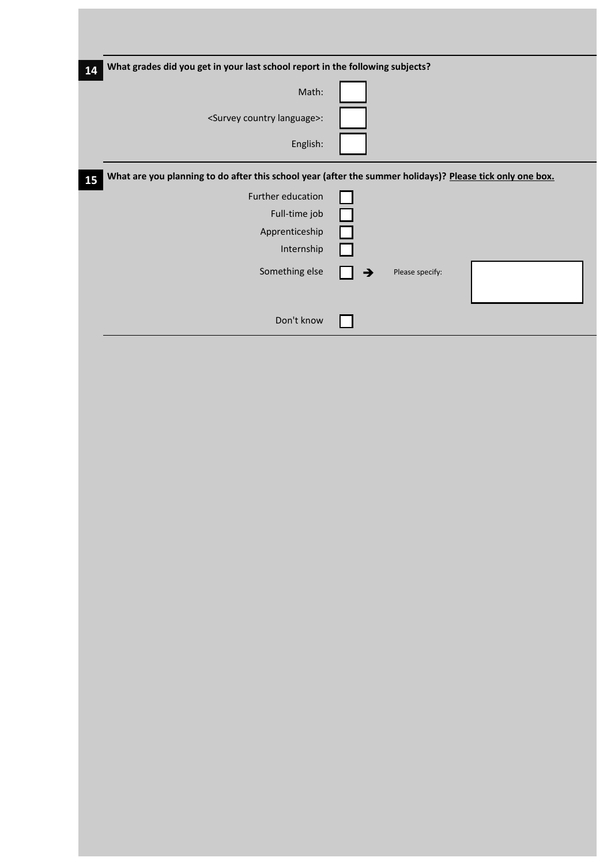| 14 | What grades did you get in your last school report in the following subjects? |                                                                                                           |
|----|-------------------------------------------------------------------------------|-----------------------------------------------------------------------------------------------------------|
|    | Math:                                                                         |                                                                                                           |
|    | <survey country="" language="">:</survey>                                     |                                                                                                           |
|    | English:                                                                      |                                                                                                           |
| 15 |                                                                               | What are you planning to do after this school year (after the summer holidays)? Please tick only one box. |
|    | Further education                                                             |                                                                                                           |
|    | Full-time job                                                                 |                                                                                                           |
|    | Apprenticeship                                                                |                                                                                                           |
|    | Internship                                                                    |                                                                                                           |
|    | Something else                                                                | Please specify:<br>→                                                                                      |
|    | Don't know                                                                    |                                                                                                           |
|    |                                                                               |                                                                                                           |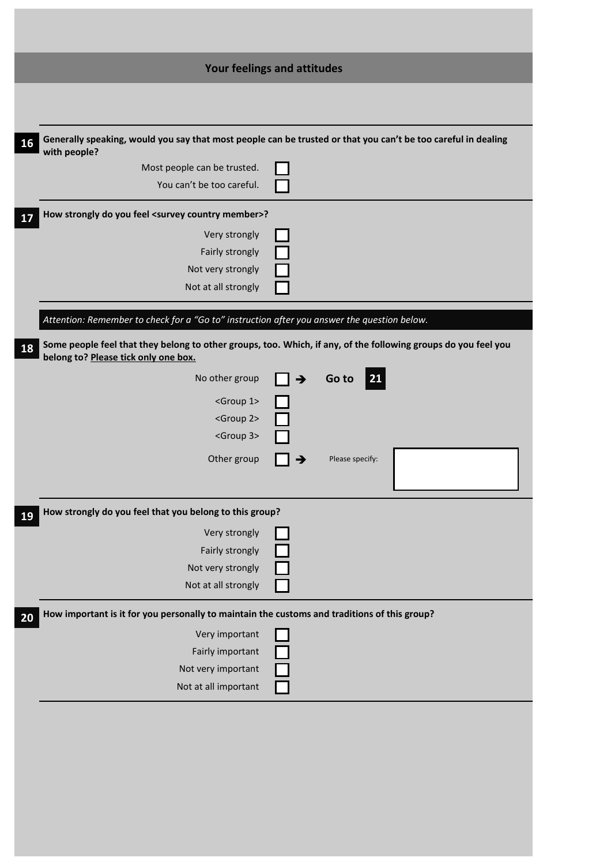| Your feelings and attitudes<br>Generally speaking, would you say that most people can be trusted or that you can't be too careful in dealing<br>16<br>with people? |  |
|--------------------------------------------------------------------------------------------------------------------------------------------------------------------|--|
|                                                                                                                                                                    |  |
|                                                                                                                                                                    |  |
|                                                                                                                                                                    |  |
| Most people can be trusted.<br>You can't be too careful.                                                                                                           |  |
| How strongly do you feel <survey country="" member="">?<br/>17<br/>Very strongly<br/>Fairly strongly<br/>Not very strongly<br/>Not at all strongly</survey>        |  |
| Attention: Remember to check for a "Go to" instruction after you answer the question below.                                                                        |  |
| Some people feel that they belong to other groups, too. Which, if any, of the following groups do you feel you<br>18<br>belong to? Please tick only one box.       |  |
| No other group<br> 21 <br>Go to<br>$\rightarrow$<br><group 1=""><br/><group 2=""><br/><group 3=""></group></group></group>                                         |  |
| Other group<br>Please specify:                                                                                                                                     |  |
| How strongly do you feel that you belong to this group?                                                                                                            |  |
| 19<br>Very strongly<br>Fairly strongly<br>Not very strongly<br>Not at all strongly                                                                                 |  |
| How important is it for you personally to maintain the customs and traditions of this group?<br>20                                                                 |  |
| Very important<br>Fairly important<br>Not very important<br>Not at all important                                                                                   |  |
|                                                                                                                                                                    |  |
|                                                                                                                                                                    |  |
|                                                                                                                                                                    |  |
|                                                                                                                                                                    |  |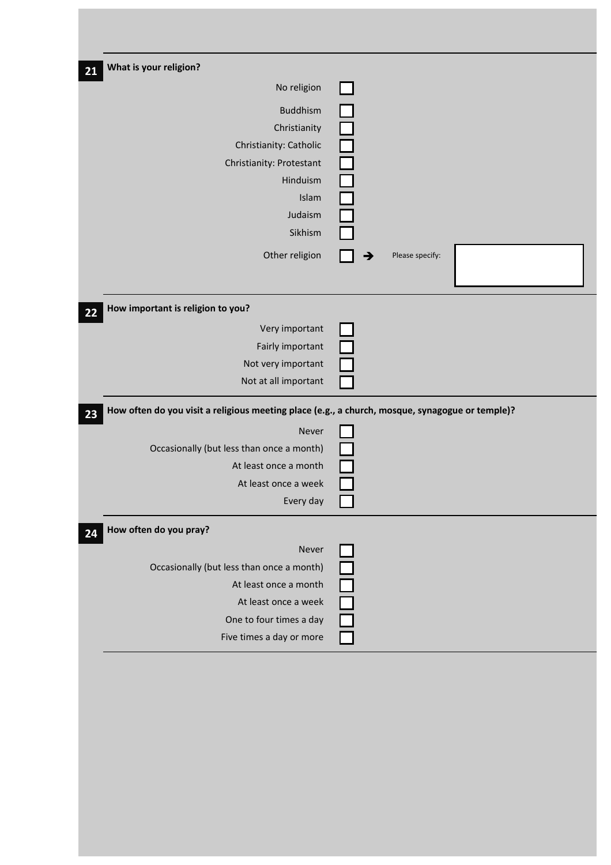| What is your religion?                                                                                   |   |                 |  |
|----------------------------------------------------------------------------------------------------------|---|-----------------|--|
| No religion                                                                                              |   |                 |  |
| <b>Buddhism</b>                                                                                          |   |                 |  |
| Christianity                                                                                             |   |                 |  |
| Christianity: Catholic                                                                                   |   |                 |  |
| Christianity: Protestant                                                                                 |   |                 |  |
| Hinduism                                                                                                 |   |                 |  |
| Islam                                                                                                    |   |                 |  |
| Judaism                                                                                                  |   |                 |  |
| Sikhism                                                                                                  |   |                 |  |
| Other religion                                                                                           | → | Please specify: |  |
| How important is religion to you?                                                                        |   |                 |  |
| Very important                                                                                           |   |                 |  |
| Fairly important                                                                                         |   |                 |  |
|                                                                                                          |   |                 |  |
| Not very important                                                                                       |   |                 |  |
| Not at all important                                                                                     |   |                 |  |
| How often do you visit a religious meeting place (e.g., a church, mosque, synagogue or temple)?<br>Never |   |                 |  |
| Occasionally (but less than once a month)                                                                |   |                 |  |
| At least once a month                                                                                    |   |                 |  |
| At least once a week<br>Every day                                                                        |   |                 |  |
| How often do you pray?                                                                                   |   |                 |  |
| Never                                                                                                    |   |                 |  |
| Occasionally (but less than once a month)                                                                |   |                 |  |
| At least once a month                                                                                    |   |                 |  |
| At least once a week                                                                                     |   |                 |  |
| One to four times a day<br>Five times a day or more                                                      |   |                 |  |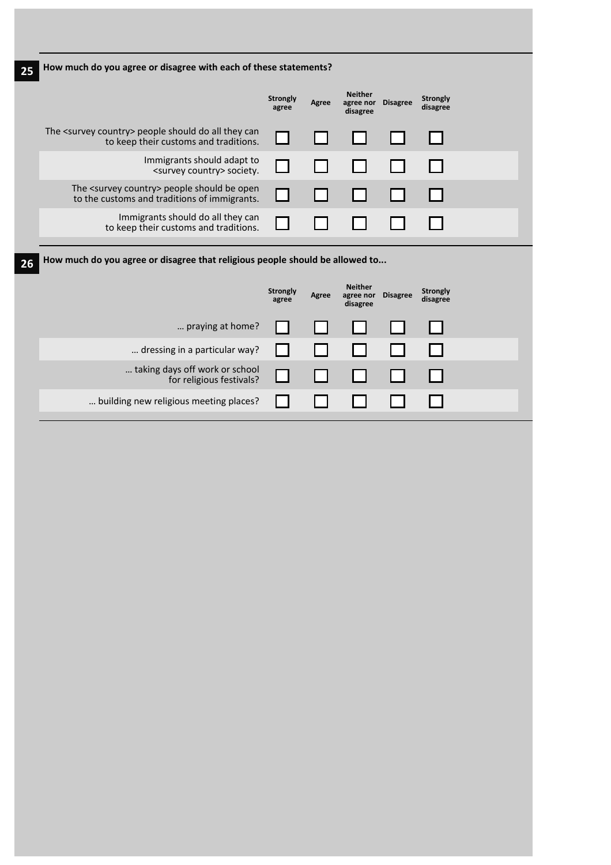| How much do you agree or disagree with each of these statements?                                         |                          |       |                                         |                 |                             |  |
|----------------------------------------------------------------------------------------------------------|--------------------------|-------|-----------------------------------------|-----------------|-----------------------------|--|
|                                                                                                          | <b>Strongly</b><br>agree | Agree | <b>Neither</b><br>agree nor<br>disagree | <b>Disagree</b> | <b>Strongly</b><br>disagree |  |
| The <survey country=""> people should do all they can<br/>to keep their customs and traditions.</survey> |                          |       |                                         |                 |                             |  |
| Immigrants should adapt to<br><survey country=""> society.</survey>                                      |                          |       |                                         |                 |                             |  |
| The <survey country=""> people should be open<br/>to the customs and traditions of immigrants.</survey>  |                          |       |                                         |                 |                             |  |
| Immigrants should do all they can<br>to keep their customs and traditions.                               |                          |       |                                         |                 |                             |  |

**26 How much do you agree or disagree that religious people should be allowed to...**

|                                                            | <b>Strongly</b><br>agree | Agree | <b>Neither</b><br>agree nor<br>disagree | <b>Disagree</b> | <b>Strongly</b><br>disagree |  |
|------------------------------------------------------------|--------------------------|-------|-----------------------------------------|-----------------|-----------------------------|--|
| praying at home?                                           |                          |       | . .                                     |                 |                             |  |
| dressing in a particular way?                              |                          |       |                                         |                 |                             |  |
| taking days off work or school<br>for religious festivals? |                          |       |                                         |                 |                             |  |
| building new religious meeting places? $\ \cdot\ $         |                          |       |                                         |                 |                             |  |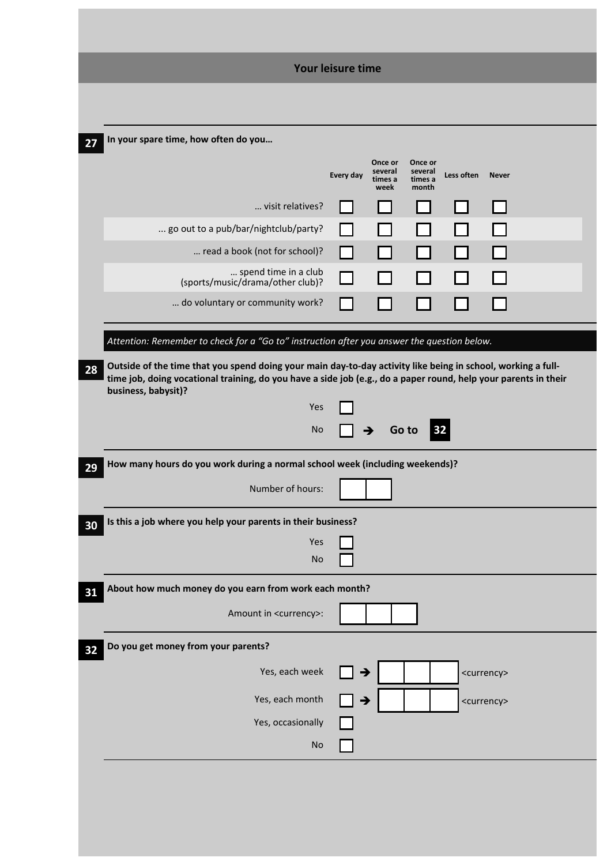|                                                                                                                                                                                                                                                        | Your leisure time |                                       |                                        |            |                       |  |
|--------------------------------------------------------------------------------------------------------------------------------------------------------------------------------------------------------------------------------------------------------|-------------------|---------------------------------------|----------------------------------------|------------|-----------------------|--|
|                                                                                                                                                                                                                                                        |                   |                                       |                                        |            |                       |  |
|                                                                                                                                                                                                                                                        |                   |                                       |                                        |            |                       |  |
| In your spare time, how often do you                                                                                                                                                                                                                   |                   |                                       |                                        |            |                       |  |
|                                                                                                                                                                                                                                                        | Every day         | Once or<br>several<br>times a<br>week | Once or<br>several<br>times a<br>month | Less often | <b>Never</b>          |  |
| visit relatives?                                                                                                                                                                                                                                       |                   |                                       |                                        |            |                       |  |
| go out to a pub/bar/nightclub/party?                                                                                                                                                                                                                   |                   |                                       |                                        |            |                       |  |
| read a book (not for school)?                                                                                                                                                                                                                          |                   |                                       |                                        |            |                       |  |
| spend time in a club<br>(sports/music/drama/other club)?                                                                                                                                                                                               |                   |                                       |                                        |            |                       |  |
| do voluntary or community work?                                                                                                                                                                                                                        |                   |                                       |                                        |            |                       |  |
| Attention: Remember to check for a "Go to" instruction after you answer the question below.                                                                                                                                                            |                   |                                       |                                        |            |                       |  |
|                                                                                                                                                                                                                                                        |                   |                                       |                                        |            |                       |  |
| Outside of the time that you spend doing your main day-to-day activity like being in school, working a full-<br>time job, doing vocational training, do you have a side job (e.g., do a paper round, help your parents in their<br>business, babysit)? |                   |                                       |                                        |            |                       |  |
| Yes                                                                                                                                                                                                                                                    |                   |                                       |                                        |            |                       |  |
| <b>No</b>                                                                                                                                                                                                                                              | →                 |                                       | Go to<br>32                            |            |                       |  |
| How many hours do you work during a normal school week (including weekends)?                                                                                                                                                                           |                   |                                       |                                        |            |                       |  |
| Number of hours:                                                                                                                                                                                                                                       |                   |                                       |                                        |            |                       |  |
| Is this a job where you help your parents in their business?                                                                                                                                                                                           |                   |                                       |                                        |            |                       |  |
| Yes<br><b>No</b>                                                                                                                                                                                                                                       |                   |                                       |                                        |            |                       |  |
| About how much money do you earn from work each month?                                                                                                                                                                                                 |                   |                                       |                                        |            |                       |  |
| Amount in <currency>:</currency>                                                                                                                                                                                                                       |                   |                                       |                                        |            |                       |  |
| Do you get money from your parents?                                                                                                                                                                                                                    |                   |                                       |                                        |            |                       |  |
| Yes, each week                                                                                                                                                                                                                                         | Э                 |                                       |                                        |            | <currency></currency> |  |
| Yes, each month                                                                                                                                                                                                                                        | →                 |                                       |                                        |            | <currency></currency> |  |
| Yes, occasionally                                                                                                                                                                                                                                      |                   |                                       |                                        |            |                       |  |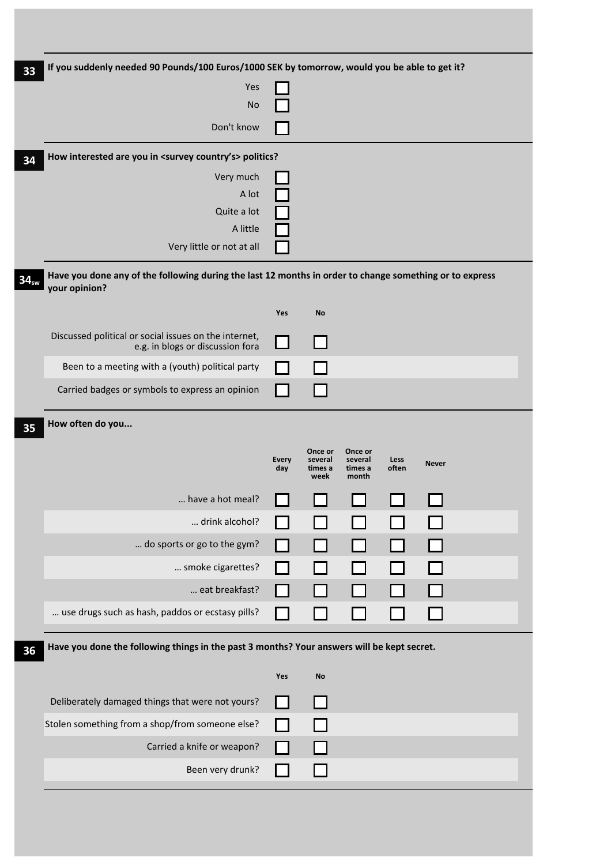| 33               | If you suddenly needed 90 Pounds/100 Euros/1000 SEK by tomorrow, would you be able to get it?                            |                     |                            |                             |               |              |  |
|------------------|--------------------------------------------------------------------------------------------------------------------------|---------------------|----------------------------|-----------------------------|---------------|--------------|--|
|                  | Yes                                                                                                                      |                     |                            |                             |               |              |  |
|                  | <b>No</b>                                                                                                                |                     |                            |                             |               |              |  |
|                  | Don't know                                                                                                               |                     |                            |                             |               |              |  |
| 34               | How interested are you in <survey country's=""> politics?</survey>                                                       |                     |                            |                             |               |              |  |
|                  | Very much                                                                                                                |                     |                            |                             |               |              |  |
|                  | A lot                                                                                                                    |                     |                            |                             |               |              |  |
|                  | Quite a lot<br>A little                                                                                                  |                     |                            |                             |               |              |  |
|                  | Very little or not at all                                                                                                |                     |                            |                             |               |              |  |
| 34 <sub>sw</sub> | Have you done any of the following during the last 12 months in order to change something or to express<br>your opinion? |                     |                            |                             |               |              |  |
|                  |                                                                                                                          | Yes                 | No                         |                             |               |              |  |
|                  | Discussed political or social issues on the internet,<br>e.g. in blogs or discussion fora                                |                     |                            |                             |               |              |  |
|                  | Been to a meeting with a (youth) political party                                                                         |                     |                            |                             |               |              |  |
|                  | Carried badges or symbols to express an opinion                                                                          |                     |                            |                             |               |              |  |
| 35               | How often do you                                                                                                         |                     |                            |                             |               |              |  |
|                  |                                                                                                                          |                     | Once or                    | Once or                     |               |              |  |
|                  |                                                                                                                          | <b>Every</b><br>day | several<br>times a<br>week | several<br>times a<br>month | Less<br>often | <b>Never</b> |  |
|                  | have a hot meal?                                                                                                         |                     |                            |                             |               |              |  |
|                  | drink alcohol?                                                                                                           |                     |                            |                             |               |              |  |
|                  | do sports or go to the gym?                                                                                              |                     |                            |                             |               |              |  |
|                  | smoke cigarettes?                                                                                                        |                     |                            |                             |               |              |  |
|                  | eat breakfast?                                                                                                           |                     |                            |                             |               |              |  |
|                  | use drugs such as hash, paddos or ecstasy pills?                                                                         |                     |                            |                             |               |              |  |
| 36               | Have you done the following things in the past 3 months? Your answers will be kept secret.                               |                     |                            |                             |               |              |  |
|                  |                                                                                                                          | Yes                 | <b>No</b>                  |                             |               |              |  |
|                  | Deliberately damaged things that were not yours?                                                                         |                     |                            |                             |               |              |  |
|                  | Stolen something from a shop/from someone else?                                                                          |                     |                            |                             |               |              |  |
|                  | Carried a knife or weapon?                                                                                               |                     |                            |                             |               |              |  |
|                  | Been very drunk?                                                                                                         |                     |                            |                             |               |              |  |
|                  |                                                                                                                          |                     |                            |                             |               |              |  |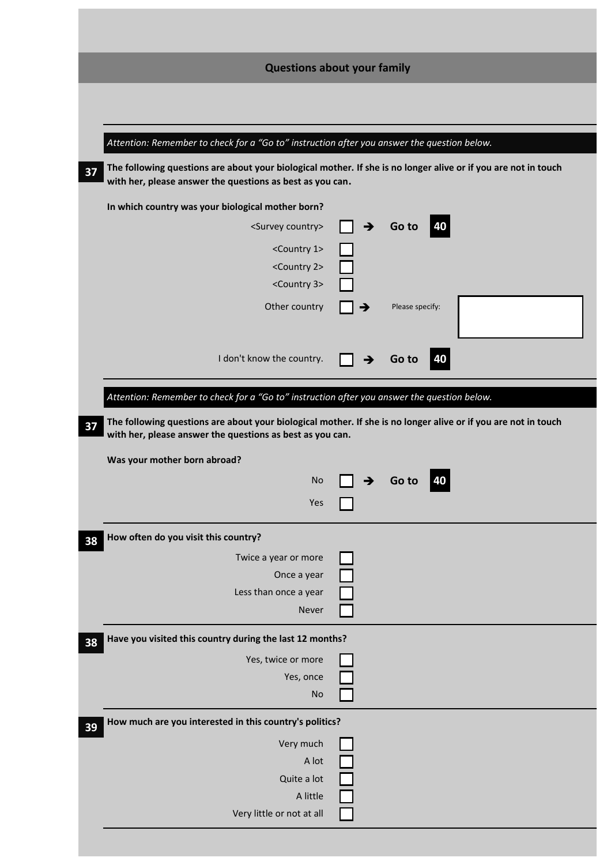| <b>Questions about your family</b>                                                                                                                                          |               |                 |  |  |
|-----------------------------------------------------------------------------------------------------------------------------------------------------------------------------|---------------|-----------------|--|--|
|                                                                                                                                                                             |               |                 |  |  |
|                                                                                                                                                                             |               |                 |  |  |
| Attention: Remember to check for a "Go to" instruction after you answer the question below.                                                                                 |               |                 |  |  |
| The following questions are about your biological mother. If she is no longer alive or if you are not in touch<br>with her, please answer the questions as best as you can. |               |                 |  |  |
| In which country was your biological mother born?                                                                                                                           |               |                 |  |  |
| <survey country=""></survey>                                                                                                                                                | $\rightarrow$ | 40<br>Go to     |  |  |
| <country 1=""></country>                                                                                                                                                    |               |                 |  |  |
| <country 2=""></country>                                                                                                                                                    |               |                 |  |  |
| <country 3=""></country>                                                                                                                                                    |               |                 |  |  |
| Other country                                                                                                                                                               |               | Please specify: |  |  |
|                                                                                                                                                                             |               |                 |  |  |
| I don't know the country.                                                                                                                                                   |               | Go to<br>40     |  |  |
|                                                                                                                                                                             |               |                 |  |  |
| Attention: Remember to check for a "Go to" instruction after you answer the question below.                                                                                 |               |                 |  |  |
|                                                                                                                                                                             |               |                 |  |  |
|                                                                                                                                                                             |               |                 |  |  |
| The following questions are about your biological mother. If she is no longer alive or if you are not in touch<br>with her, please answer the questions as best as you can. |               |                 |  |  |
| Was your mother born abroad?                                                                                                                                                |               |                 |  |  |
| <b>No</b>                                                                                                                                                                   |               | 40              |  |  |
|                                                                                                                                                                             |               | Go to           |  |  |
| Yes                                                                                                                                                                         |               |                 |  |  |
| How often do you visit this country?                                                                                                                                        |               |                 |  |  |
| Twice a year or more                                                                                                                                                        |               |                 |  |  |
| Once a year                                                                                                                                                                 |               |                 |  |  |
| Less than once a year                                                                                                                                                       |               |                 |  |  |
| Never                                                                                                                                                                       |               |                 |  |  |
| Have you visited this country during the last 12 months?                                                                                                                    |               |                 |  |  |
| Yes, twice or more                                                                                                                                                          |               |                 |  |  |
| Yes, once                                                                                                                                                                   |               |                 |  |  |
| <b>No</b>                                                                                                                                                                   |               |                 |  |  |
| How much are you interested in this country's politics?                                                                                                                     |               |                 |  |  |
|                                                                                                                                                                             |               |                 |  |  |
| Very much<br>A lot                                                                                                                                                          |               |                 |  |  |
| Quite a lot                                                                                                                                                                 |               |                 |  |  |
| A little                                                                                                                                                                    |               |                 |  |  |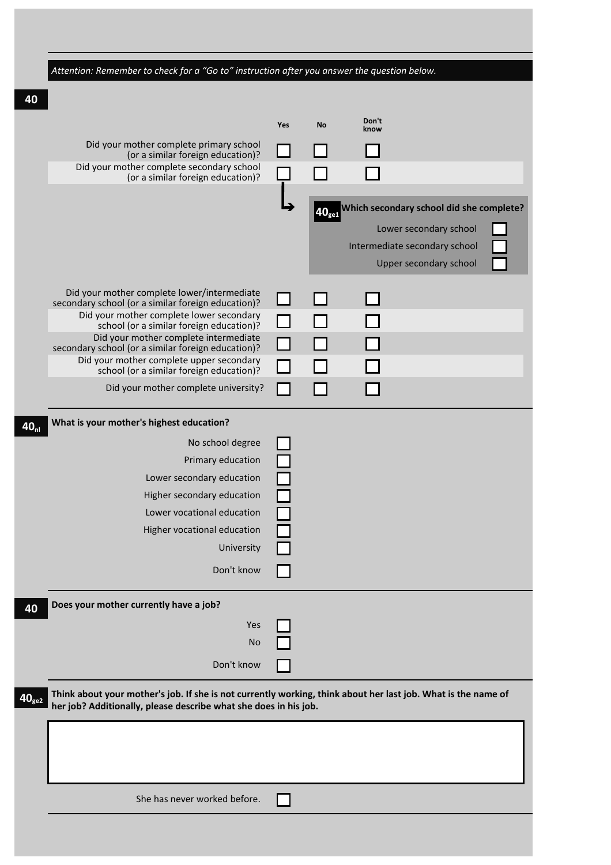|                   | Attention: Remember to check for a "Go to" instruction after you answer the question below.                                                                                       |     |                  |                                                                                                                               |
|-------------------|-----------------------------------------------------------------------------------------------------------------------------------------------------------------------------------|-----|------------------|-------------------------------------------------------------------------------------------------------------------------------|
|                   |                                                                                                                                                                                   |     |                  |                                                                                                                               |
|                   |                                                                                                                                                                                   | Yes | <b>No</b>        | Don't                                                                                                                         |
|                   | Did your mother complete primary school                                                                                                                                           |     |                  | know                                                                                                                          |
|                   | (or a similar foreign education)?<br>Did your mother complete secondary school<br>(or a similar foreign education)?                                                               |     |                  |                                                                                                                               |
|                   |                                                                                                                                                                                   |     |                  |                                                                                                                               |
|                   |                                                                                                                                                                                   |     | $40_{\text{ge}}$ | Which secondary school did she complete?<br>Lower secondary school<br>Intermediate secondary school<br>Upper secondary school |
|                   | Did your mother complete lower/intermediate                                                                                                                                       |     |                  |                                                                                                                               |
|                   | secondary school (or a similar foreign education)?<br>Did your mother complete lower secondary                                                                                    |     |                  |                                                                                                                               |
|                   | school (or a similar foreign education)?<br>Did your mother complete intermediate                                                                                                 |     |                  |                                                                                                                               |
|                   | secondary school (or a similar foreign education)?<br>Did your mother complete upper secondary                                                                                    |     |                  |                                                                                                                               |
|                   | school (or a similar foreign education)?                                                                                                                                          |     |                  |                                                                                                                               |
|                   | Did your mother complete university?                                                                                                                                              |     |                  |                                                                                                                               |
|                   | What is your mother's highest education?                                                                                                                                          |     |                  |                                                                                                                               |
|                   | No school degree                                                                                                                                                                  |     |                  |                                                                                                                               |
|                   | Primary education                                                                                                                                                                 |     |                  |                                                                                                                               |
|                   | Lower secondary education                                                                                                                                                         |     |                  |                                                                                                                               |
|                   | Higher secondary education                                                                                                                                                        |     |                  |                                                                                                                               |
|                   | Lower vocational education                                                                                                                                                        |     |                  |                                                                                                                               |
|                   | Higher vocational education                                                                                                                                                       |     |                  |                                                                                                                               |
|                   | University                                                                                                                                                                        |     |                  |                                                                                                                               |
|                   | Don't know                                                                                                                                                                        |     |                  |                                                                                                                               |
|                   | Does your mother currently have a job?                                                                                                                                            |     |                  |                                                                                                                               |
|                   | Yes                                                                                                                                                                               |     |                  |                                                                                                                               |
|                   | No                                                                                                                                                                                |     |                  |                                                                                                                               |
|                   | Don't know                                                                                                                                                                        |     |                  |                                                                                                                               |
|                   |                                                                                                                                                                                   |     |                  |                                                                                                                               |
| 40 <sub>ge2</sub> | Think about your mother's job. If she is not currently working, think about her last job. What is the name of<br>her job? Additionally, please describe what she does in his job. |     |                  |                                                                                                                               |
|                   |                                                                                                                                                                                   |     |                  |                                                                                                                               |
|                   |                                                                                                                                                                                   |     |                  |                                                                                                                               |
|                   |                                                                                                                                                                                   |     |                  |                                                                                                                               |
|                   |                                                                                                                                                                                   |     |                  |                                                                                                                               |
|                   | She has never worked before.                                                                                                                                                      |     |                  |                                                                                                                               |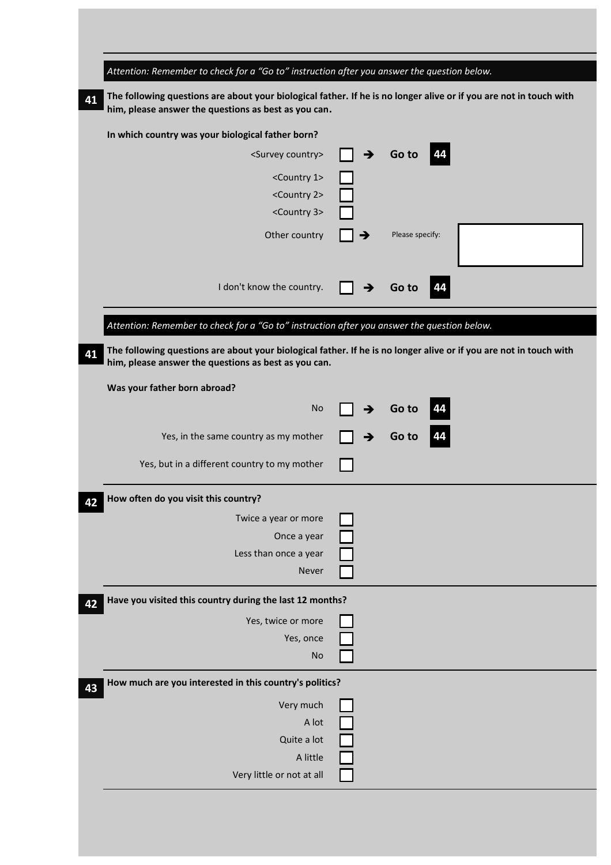| Attention: Remember to check for a "Go to" instruction after you answer the question below.                                                                                |   |                 |  |
|----------------------------------------------------------------------------------------------------------------------------------------------------------------------------|---|-----------------|--|
| The following questions are about your biological father. If he is no longer alive or if you are not in touch with<br>him, please answer the questions as best as you can. |   |                 |  |
| In which country was your biological father born?                                                                                                                          |   |                 |  |
| <survey country=""></survey>                                                                                                                                               | → | Go to           |  |
| <country 1=""></country>                                                                                                                                                   |   |                 |  |
| <country 2=""></country>                                                                                                                                                   |   |                 |  |
| <country 3=""></country>                                                                                                                                                   |   |                 |  |
| Other country                                                                                                                                                              |   | Please specify: |  |
|                                                                                                                                                                            |   |                 |  |
| I don't know the country.                                                                                                                                                  |   | Go to           |  |
|                                                                                                                                                                            |   |                 |  |
| Attention: Remember to check for a "Go to" instruction after you answer the question below.                                                                                |   |                 |  |
| The following questions are about your biological father. If he is no longer alive or if you are not in touch with                                                         |   |                 |  |
| him, please answer the questions as best as you can.                                                                                                                       |   |                 |  |
| Was your father born abroad?                                                                                                                                               |   |                 |  |
| <b>No</b>                                                                                                                                                                  |   | Go to           |  |
| Yes, in the same country as my mother                                                                                                                                      |   | Go to           |  |
|                                                                                                                                                                            |   |                 |  |
| Yes, but in a different country to my mother                                                                                                                               |   |                 |  |
| How often do you visit this country?                                                                                                                                       |   |                 |  |
| Twice a year or more                                                                                                                                                       |   |                 |  |
| Once a year                                                                                                                                                                |   |                 |  |
| Less than once a year                                                                                                                                                      |   |                 |  |
| Never                                                                                                                                                                      |   |                 |  |
| Have you visited this country during the last 12 months?                                                                                                                   |   |                 |  |
| Yes, twice or more                                                                                                                                                         |   |                 |  |
| Yes, once                                                                                                                                                                  |   |                 |  |
| <b>No</b>                                                                                                                                                                  |   |                 |  |
| How much are you interested in this country's politics?                                                                                                                    |   |                 |  |
|                                                                                                                                                                            |   |                 |  |
| Very much                                                                                                                                                                  |   |                 |  |
| A lot                                                                                                                                                                      |   |                 |  |
| Quite a lot                                                                                                                                                                |   |                 |  |
| A little                                                                                                                                                                   |   |                 |  |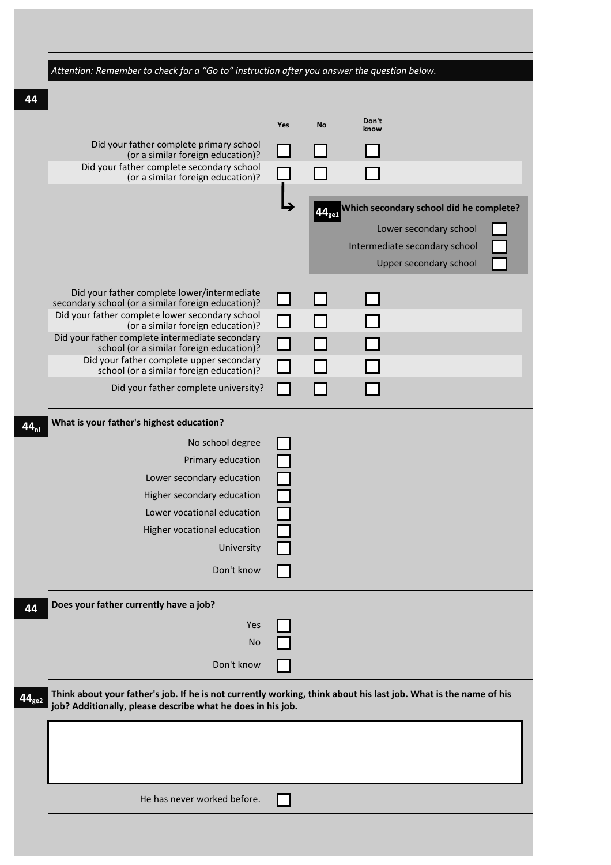| Attention: Remember to check for a "Go to" instruction after you answer the question below.                      |            |           |                                                         |
|------------------------------------------------------------------------------------------------------------------|------------|-----------|---------------------------------------------------------|
|                                                                                                                  |            |           |                                                         |
|                                                                                                                  |            |           | Don't                                                   |
|                                                                                                                  | <b>Yes</b> | <b>No</b> | know                                                    |
| Did your father complete primary school<br>(or a similar foreign education)?                                     |            |           |                                                         |
| Did your father complete secondary school<br>(or a similar foreign education)?                                   |            |           |                                                         |
|                                                                                                                  |            |           |                                                         |
|                                                                                                                  |            | 44.       | Which secondary school did he complete?                 |
|                                                                                                                  |            |           | Lower secondary school                                  |
|                                                                                                                  |            |           | Intermediate secondary school<br>Upper secondary school |
|                                                                                                                  |            |           |                                                         |
| Did your father complete lower/intermediate<br>secondary school (or a similar foreign education)?                |            |           |                                                         |
| Did your father complete lower secondary school<br>(or a similar foreign education)?                             |            |           |                                                         |
| Did your father complete intermediate secondary                                                                  |            |           |                                                         |
| school (or a similar foreign education)?<br>Did your father complete upper secondary                             |            |           |                                                         |
| school (or a similar foreign education)?                                                                         |            |           |                                                         |
| Did your father complete university?                                                                             |            |           |                                                         |
| What is your father's highest education?                                                                         |            |           |                                                         |
| No school degree                                                                                                 |            |           |                                                         |
| Primary education                                                                                                |            |           |                                                         |
| Lower secondary education                                                                                        |            |           |                                                         |
| Higher secondary education                                                                                       |            |           |                                                         |
| Lower vocational education                                                                                       |            |           |                                                         |
| Higher vocational education                                                                                      |            |           |                                                         |
| University                                                                                                       |            |           |                                                         |
| Don't know                                                                                                       |            |           |                                                         |
|                                                                                                                  |            |           |                                                         |
| Does your father currently have a job?                                                                           |            |           |                                                         |
| Yes                                                                                                              |            |           |                                                         |
| No                                                                                                               |            |           |                                                         |
| Don't know                                                                                                       |            |           |                                                         |
| Think about your father's job. If he is not currently working, think about his last job. What is the name of his |            |           |                                                         |
| job? Additionally, please describe what he does in his job.                                                      |            |           |                                                         |
|                                                                                                                  |            |           |                                                         |
|                                                                                                                  |            |           |                                                         |
|                                                                                                                  |            |           |                                                         |
|                                                                                                                  |            |           |                                                         |
| He has never worked before.                                                                                      |            |           |                                                         |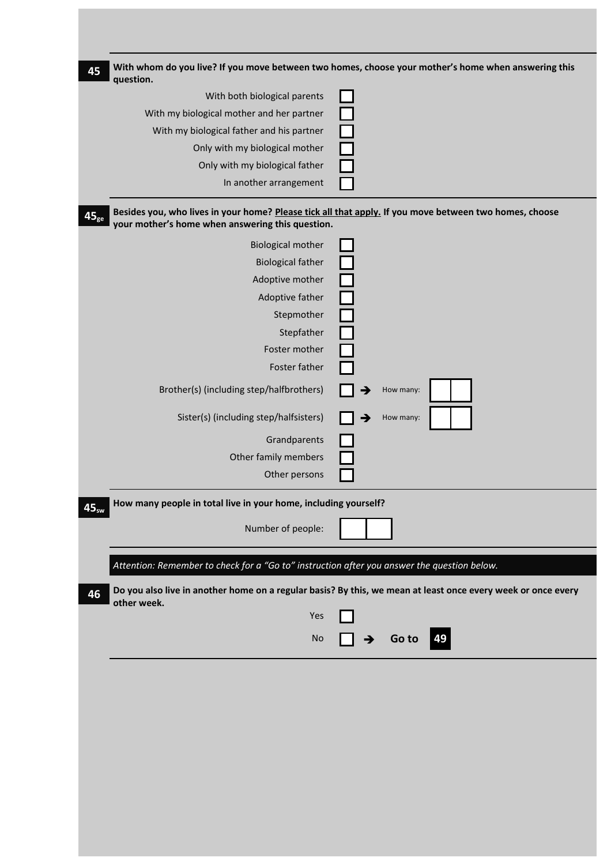| question.                                                                                   | With whom do you live? If you move between two homes, choose your mother's home when answering this          |
|---------------------------------------------------------------------------------------------|--------------------------------------------------------------------------------------------------------------|
| With both biological parents                                                                |                                                                                                              |
| With my biological mother and her partner                                                   |                                                                                                              |
| With my biological father and his partner                                                   |                                                                                                              |
| Only with my biological mother                                                              |                                                                                                              |
| Only with my biological father                                                              |                                                                                                              |
| In another arrangement                                                                      |                                                                                                              |
| your mother's home when answering this question.                                            | Besides you, who lives in your home? Please tick all that apply. If you move between two homes, choose       |
| <b>Biological mother</b>                                                                    |                                                                                                              |
| <b>Biological father</b>                                                                    |                                                                                                              |
| Adoptive mother                                                                             |                                                                                                              |
| Adoptive father                                                                             |                                                                                                              |
| Stepmother                                                                                  |                                                                                                              |
| Stepfather                                                                                  |                                                                                                              |
| Foster mother                                                                               |                                                                                                              |
| Foster father                                                                               |                                                                                                              |
| Brother(s) (including step/halfbrothers)                                                    | How many:                                                                                                    |
| Sister(s) (including step/halfsisters)                                                      | How many:                                                                                                    |
| Grandparents                                                                                |                                                                                                              |
| Other family members                                                                        |                                                                                                              |
| Other persons                                                                               |                                                                                                              |
|                                                                                             |                                                                                                              |
| How many people in total live in your home, including yourself?                             |                                                                                                              |
| Number of people:                                                                           |                                                                                                              |
| Attention: Remember to check for a "Go to" instruction after you answer the question below. |                                                                                                              |
|                                                                                             | Do you also live in another home on a regular basis? By this, we mean at least once every week or once every |
| other week.<br>Yes                                                                          |                                                                                                              |
| No                                                                                          | Go to<br>  49<br>$\rightarrow$                                                                               |
|                                                                                             |                                                                                                              |
|                                                                                             |                                                                                                              |
|                                                                                             |                                                                                                              |
|                                                                                             |                                                                                                              |
|                                                                                             |                                                                                                              |
|                                                                                             |                                                                                                              |
|                                                                                             |                                                                                                              |
|                                                                                             |                                                                                                              |
|                                                                                             |                                                                                                              |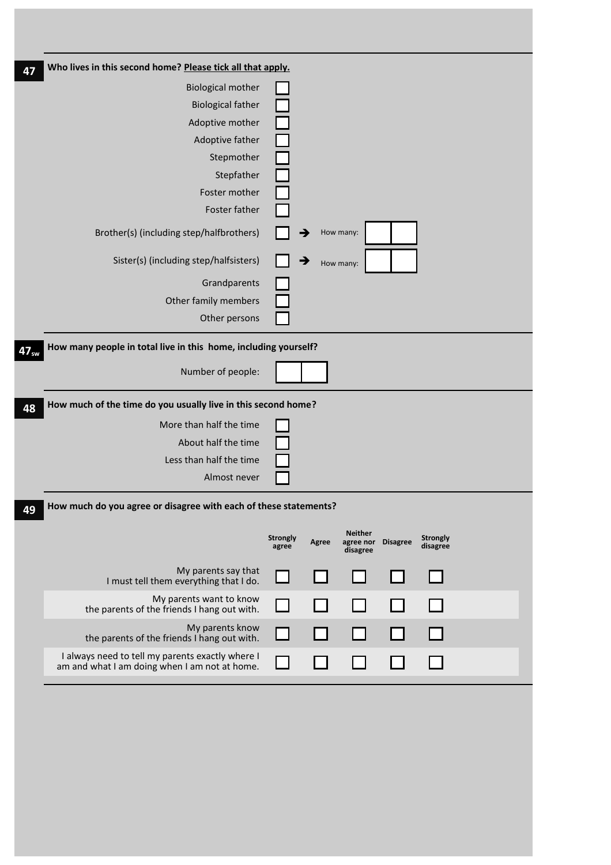| 47               | Who lives in this second home? Please tick all that apply.                                        |                          |       |                                         |                 |                             |  |
|------------------|---------------------------------------------------------------------------------------------------|--------------------------|-------|-----------------------------------------|-----------------|-----------------------------|--|
|                  | <b>Biological mother</b>                                                                          |                          |       |                                         |                 |                             |  |
|                  | <b>Biological father</b>                                                                          |                          |       |                                         |                 |                             |  |
|                  | Adoptive mother                                                                                   |                          |       |                                         |                 |                             |  |
|                  | Adoptive father                                                                                   |                          |       |                                         |                 |                             |  |
|                  | Stepmother                                                                                        |                          |       |                                         |                 |                             |  |
|                  | Stepfather                                                                                        |                          |       |                                         |                 |                             |  |
|                  | Foster mother                                                                                     |                          |       |                                         |                 |                             |  |
|                  | Foster father                                                                                     |                          |       |                                         |                 |                             |  |
|                  | Brother(s) (including step/halfbrothers)                                                          |                          |       | How many:                               |                 |                             |  |
|                  | Sister(s) (including step/halfsisters)                                                            |                          |       | How many:                               |                 |                             |  |
|                  | Grandparents                                                                                      |                          |       |                                         |                 |                             |  |
|                  | Other family members                                                                              |                          |       |                                         |                 |                             |  |
|                  | Other persons                                                                                     |                          |       |                                         |                 |                             |  |
| 47 <sub>sw</sub> | How many people in total live in this home, including yourself?                                   |                          |       |                                         |                 |                             |  |
|                  | Number of people:                                                                                 |                          |       |                                         |                 |                             |  |
| 48               | How much of the time do you usually live in this second home?                                     |                          |       |                                         |                 |                             |  |
|                  | More than half the time                                                                           |                          |       |                                         |                 |                             |  |
|                  | About half the time                                                                               |                          |       |                                         |                 |                             |  |
|                  | Less than half the time                                                                           |                          |       |                                         |                 |                             |  |
|                  | Almost never                                                                                      |                          |       |                                         |                 |                             |  |
| 49               | How much do you agree or disagree with each of these statements?                                  |                          |       |                                         |                 |                             |  |
|                  |                                                                                                   | <b>Strongly</b><br>agree | Agree | <b>Neither</b><br>agree nor<br>disagree | <b>Disagree</b> | <b>Strongly</b><br>disagree |  |
|                  | My parents say that<br>I must tell them everything that I do.                                     |                          |       |                                         |                 |                             |  |
|                  | My parents want to know<br>the parents of the friends I hang out with.                            |                          |       |                                         |                 |                             |  |
|                  | My parents know<br>the parents of the friends I hang out with.                                    |                          |       |                                         |                 |                             |  |
|                  | I always need to tell my parents exactly where I<br>am and what I am doing when I am not at home. |                          |       |                                         |                 |                             |  |
|                  |                                                                                                   |                          |       |                                         |                 |                             |  |

T,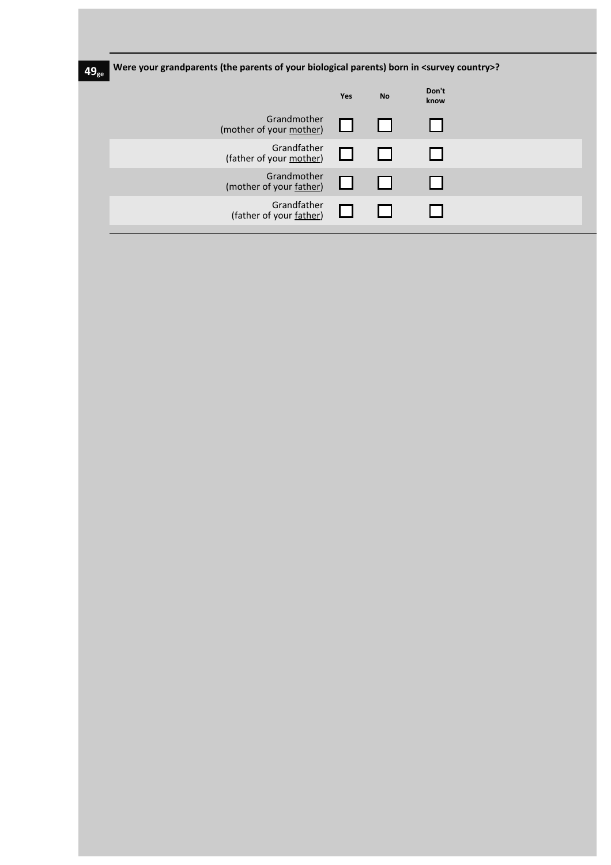| $49_{\rm ge}$ | Were your grandparents (the parents of your biological parents) born in <survey country="">?</survey> |     |           |               |  |  |  |  |  |
|---------------|-------------------------------------------------------------------------------------------------------|-----|-----------|---------------|--|--|--|--|--|
|               |                                                                                                       | Yes | <b>No</b> | Don't<br>know |  |  |  |  |  |
|               | Grandmother<br>(mother of your mother)                                                                |     |           |               |  |  |  |  |  |
|               | Grandfather<br>(father of your mother)                                                                |     |           |               |  |  |  |  |  |
|               | Grandmother<br>(mother of your father)                                                                |     |           |               |  |  |  |  |  |
|               | Grandfather<br>(father of your father)                                                                |     |           |               |  |  |  |  |  |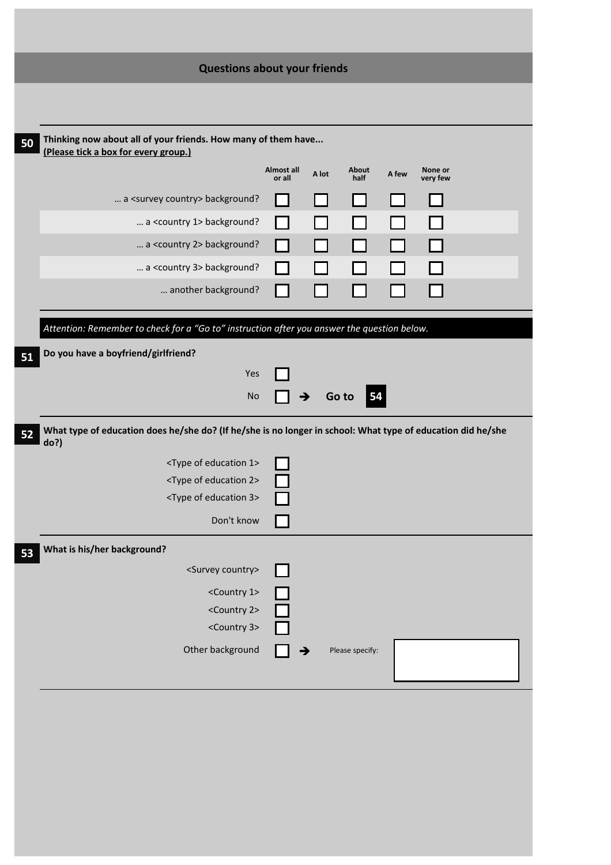| <b>Questions about your friends</b>                                                                                 |                      |       |                 |       |                     |  |
|---------------------------------------------------------------------------------------------------------------------|----------------------|-------|-----------------|-------|---------------------|--|
|                                                                                                                     |                      |       |                 |       |                     |  |
| Thinking now about all of your friends. How many of them have<br>(Please tick a box for every group.)               |                      |       |                 |       |                     |  |
|                                                                                                                     | Almost all<br>or all | A lot | About<br>half   | A few | None or<br>very few |  |
| a <survey country=""> background?</survey>                                                                          |                      |       |                 |       |                     |  |
| a <country 1=""> background?</country>                                                                              |                      |       |                 |       |                     |  |
| a <country 2=""> background?</country>                                                                              |                      |       |                 |       |                     |  |
| a <country 3=""> background?</country>                                                                              |                      |       |                 |       |                     |  |
| another background?                                                                                                 |                      |       |                 |       |                     |  |
| Attention: Remember to check for a "Go to" instruction after you answer the question below.                         |                      |       |                 |       |                     |  |
| Do you have a boyfriend/girlfriend?                                                                                 |                      |       |                 |       |                     |  |
| Yes                                                                                                                 |                      |       |                 |       |                     |  |
| <b>No</b>                                                                                                           |                      |       | 54<br>Go to     |       |                     |  |
| What type of education does he/she do? (If he/she is no longer in school: What type of education did he/she<br>do?) |                      |       |                 |       |                     |  |
| <type 1="" education="" of=""></type>                                                                               |                      |       |                 |       |                     |  |
| <type 2="" education="" of=""></type>                                                                               |                      |       |                 |       |                     |  |
| <type 3="" education="" of=""></type>                                                                               |                      |       |                 |       |                     |  |
| Don't know                                                                                                          |                      |       |                 |       |                     |  |
| What is his/her background?                                                                                         |                      |       |                 |       |                     |  |
| <survey country=""></survey>                                                                                        |                      |       |                 |       |                     |  |
| <country 1=""></country>                                                                                            |                      |       |                 |       |                     |  |
| <country 2=""></country>                                                                                            |                      |       |                 |       |                     |  |
| <country 3=""></country>                                                                                            |                      |       |                 |       |                     |  |
|                                                                                                                     |                      | →     | Please specify: |       |                     |  |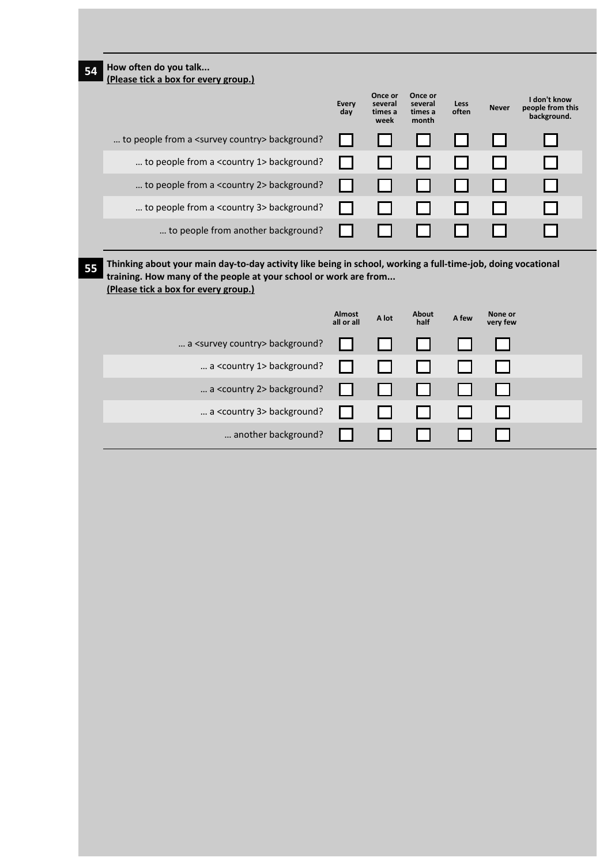| How often do you talk<br>(Please tick a box for every group.)                                            |                             |                                       |                                        |                      |                     |                                                                                                              |
|----------------------------------------------------------------------------------------------------------|-----------------------------|---------------------------------------|----------------------------------------|----------------------|---------------------|--------------------------------------------------------------------------------------------------------------|
|                                                                                                          | <b>Every</b><br>day         | Once or<br>several<br>times a<br>week | Once or<br>several<br>times a<br>month | <b>Less</b><br>often | <b>Never</b>        | I don't know<br>people from this<br>background.                                                              |
| to people from a <survey country=""> background?</survey>                                                |                             |                                       |                                        |                      |                     |                                                                                                              |
| to people from a <country 1=""> background?</country>                                                    |                             |                                       |                                        |                      |                     |                                                                                                              |
| to people from a <country 2=""> background?</country>                                                    |                             |                                       |                                        |                      |                     |                                                                                                              |
| to people from a <country 3=""> background?</country>                                                    |                             |                                       |                                        |                      |                     |                                                                                                              |
| to people from another background?                                                                       |                             |                                       |                                        |                      |                     |                                                                                                              |
|                                                                                                          |                             |                                       |                                        |                      |                     | Thinking about your main day-to-day activity like being in school, working a full-time-job, doing vocational |
| training. How many of the people at your school or work are from<br>(Please tick a box for every group.) |                             |                                       |                                        |                      |                     |                                                                                                              |
|                                                                                                          | <b>Almost</b><br>all or all | A lot                                 | About<br>half                          | A few                | None or<br>very few |                                                                                                              |
| a <survey country=""> background?</survey>                                                               |                             |                                       |                                        |                      |                     |                                                                                                              |
| a <country 1=""> background?</country>                                                                   |                             |                                       |                                        |                      |                     |                                                                                                              |
| a <country 2=""> background?</country>                                                                   |                             |                                       |                                        |                      |                     |                                                                                                              |
| a <country 3=""> background?</country>                                                                   |                             |                                       |                                        |                      |                     |                                                                                                              |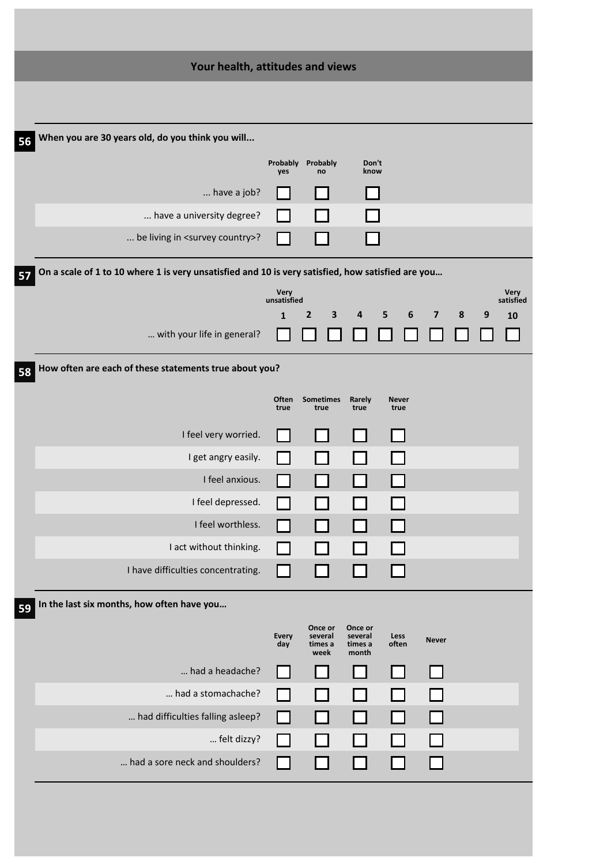| Your health, attitudes and views                                                                        |                            |                         |                    |              |                         |   |   |                   |
|---------------------------------------------------------------------------------------------------------|----------------------------|-------------------------|--------------------|--------------|-------------------------|---|---|-------------------|
|                                                                                                         |                            |                         |                    |              |                         |   |   |                   |
|                                                                                                         |                            |                         |                    |              |                         |   |   |                   |
| When you are 30 years old, do you think you will<br>56                                                  |                            |                         |                    |              |                         |   |   |                   |
|                                                                                                         | yes                        | Probably Probably<br>no | Don't<br>know      |              |                         |   |   |                   |
| have a job?                                                                                             |                            |                         |                    |              |                         |   |   |                   |
| have a university degree?                                                                               |                            |                         |                    |              |                         |   |   |                   |
| be living in <survey country="">?</survey>                                                              |                            |                         |                    |              |                         |   |   |                   |
| On a scale of 1 to 10 where 1 is very unsatisfied and 10 is very satisfied, how satisfied are you<br>57 |                            |                         |                    |              |                         |   |   |                   |
|                                                                                                         | <b>Very</b><br>unsatisfied |                         |                    |              |                         |   |   | Very<br>satisfied |
|                                                                                                         | $\mathbf{1}$               | $\overline{2}$<br>3     | 4                  | 5<br>6       | $\overline{\mathbf{z}}$ | 8 | 9 | 10                |
| with your life in general?                                                                              |                            |                         |                    |              |                         |   |   |                   |
| How often are each of these statements true about you?<br>58                                            |                            |                         |                    |              |                         |   |   |                   |
|                                                                                                         | Often                      | <b>Sometimes</b>        | Rarely             | <b>Never</b> |                         |   |   |                   |
|                                                                                                         | true                       | true                    | true               | true         |                         |   |   |                   |
| I feel very worried.                                                                                    |                            |                         |                    |              |                         |   |   |                   |
| I get angry easily.                                                                                     |                            |                         |                    |              |                         |   |   |                   |
| I feel anxious.                                                                                         |                            |                         |                    |              |                         |   |   |                   |
| I feel depressed.                                                                                       |                            |                         |                    |              |                         |   |   |                   |
| I feel worthless.                                                                                       |                            |                         |                    |              |                         |   |   |                   |
| I act without thinking.                                                                                 |                            |                         |                    |              |                         |   |   |                   |
| I have difficulties concentrating.                                                                      |                            |                         |                    |              |                         |   |   |                   |
| In the last six months, how often have you<br>59                                                        |                            |                         |                    |              |                         |   |   |                   |
|                                                                                                         | <b>Every</b>               | Once or<br>several      | Once or<br>several | Less         |                         |   |   |                   |
|                                                                                                         | day                        | times a<br>week         | times a<br>month   | often        | <b>Never</b>            |   |   |                   |
| had a headache?                                                                                         |                            |                         |                    |              |                         |   |   |                   |
| had a stomachache?                                                                                      |                            |                         |                    |              |                         |   |   |                   |
| had difficulties falling asleep?                                                                        |                            |                         |                    |              |                         |   |   |                   |
| felt dizzy?                                                                                             |                            |                         |                    |              |                         |   |   |                   |
| had a sore neck and shoulders?                                                                          |                            |                         |                    |              |                         |   |   |                   |
|                                                                                                         |                            |                         |                    |              |                         |   |   |                   |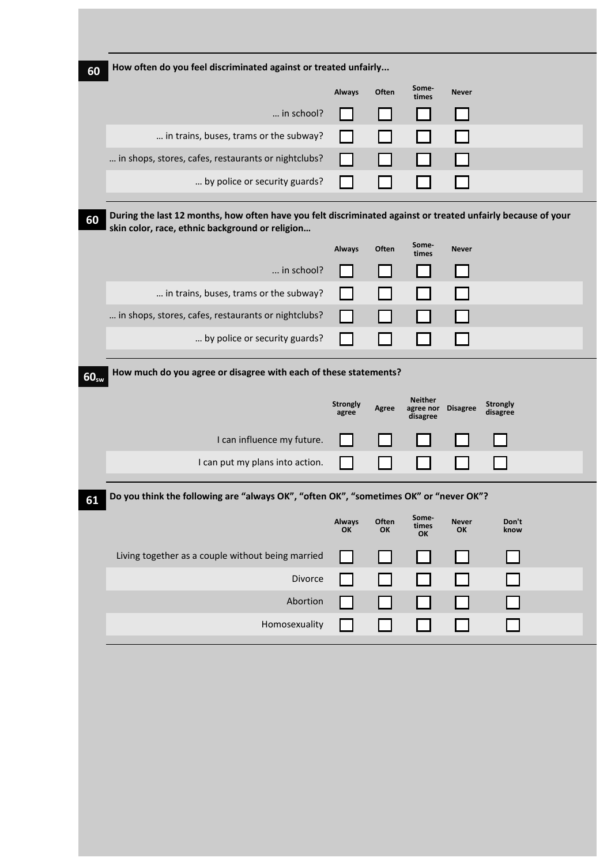|                  | How often do you feel discriminated against or treated unfairly                                                                                                 |                          |             |                                         |                    |                             |  |
|------------------|-----------------------------------------------------------------------------------------------------------------------------------------------------------------|--------------------------|-------------|-----------------------------------------|--------------------|-----------------------------|--|
|                  |                                                                                                                                                                 | <b>Always</b>            | Often       | Some-<br>times                          | <b>Never</b>       |                             |  |
|                  | in school?                                                                                                                                                      |                          |             |                                         |                    |                             |  |
|                  | in trains, buses, trams or the subway?                                                                                                                          |                          |             |                                         |                    |                             |  |
|                  | in shops, stores, cafes, restaurants or nightclubs?                                                                                                             |                          |             |                                         |                    |                             |  |
|                  | by police or security guards?                                                                                                                                   |                          |             |                                         |                    |                             |  |
|                  | During the last 12 months, how often have you felt discriminated against or treated unfairly because of your<br>skin color, race, ethnic background or religion |                          |             |                                         |                    |                             |  |
|                  |                                                                                                                                                                 | <b>Always</b>            | Often       | Some-<br>times                          | <b>Never</b>       |                             |  |
|                  | in school?                                                                                                                                                      |                          |             |                                         |                    |                             |  |
|                  | in trains, buses, trams or the subway?                                                                                                                          |                          |             |                                         |                    |                             |  |
|                  | in shops, stores, cafes, restaurants or nightclubs?                                                                                                             |                          |             |                                         |                    |                             |  |
|                  |                                                                                                                                                                 |                          |             |                                         |                    |                             |  |
|                  | by police or security guards?                                                                                                                                   |                          |             |                                         |                    |                             |  |
|                  | How much do you agree or disagree with each of these statements?                                                                                                | <b>Strongly</b><br>agree | Agree       | <b>Neither</b><br>agree nor<br>disagree | <b>Disagree</b>    | <b>Strongly</b><br>disagree |  |
|                  | I can influence my future.                                                                                                                                      |                          |             |                                         |                    |                             |  |
|                  | I can put my plans into action.                                                                                                                                 |                          |             |                                         |                    |                             |  |
|                  | Do you think the following are "always OK", "often OK", "sometimes OK" or "never OK"?                                                                           |                          |             |                                         |                    |                             |  |
|                  |                                                                                                                                                                 | <b>Always</b><br>OK      | Often<br>OK | Some-<br>times<br>OK                    | <b>Never</b><br>OK | Don't<br>know               |  |
|                  | Living together as a couple without being married                                                                                                               |                          |             |                                         |                    |                             |  |
|                  | Divorce                                                                                                                                                         |                          |             |                                         |                    |                             |  |
| 60 <sub>sw</sub> | Abortion                                                                                                                                                        |                          |             |                                         |                    |                             |  |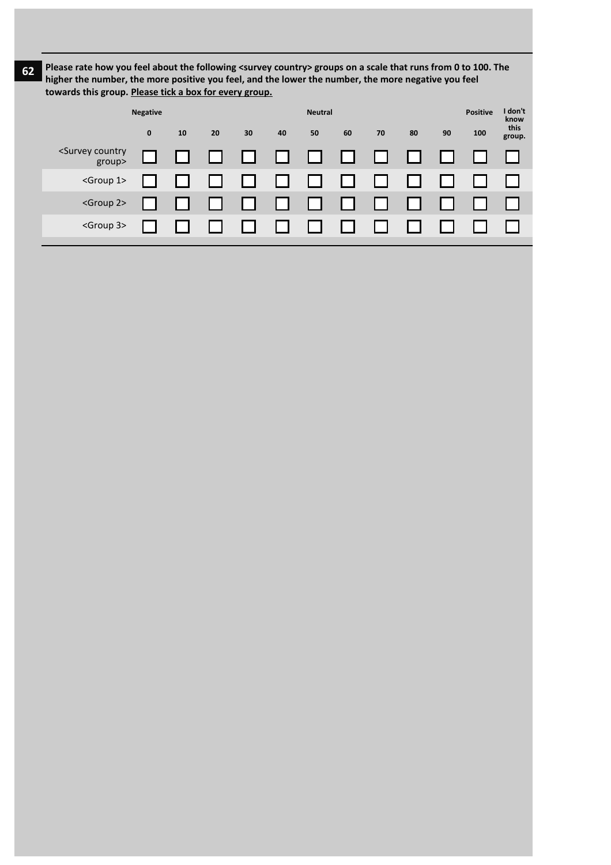**62 Please rate how you feel about the following <survey country> groups on a scale that runs from 0 to 100. The higher the number, the more positive you feel, and the lower the number, the more negative you feel towards this group. Please tick a box for every group.**

|                                          | <b>Negative</b> |    |    | <b>Neutral</b> |        |        |    |    |    |    | <b>Positive</b> | I don't<br>know |
|------------------------------------------|-----------------|----|----|----------------|--------|--------|----|----|----|----|-----------------|-----------------|
|                                          | $\mathbf 0$     | 10 | 20 | 30             | 40     | 50     | 60 | 70 | 80 | 90 | 100             | this<br>group.  |
| <survey country<br="">group&gt;</survey> |                 |    |    | ⊔              | $\Box$ | $\Box$ | ⊔  |    |    |    |                 |                 |
| <group 1=""></group>                     |                 |    |    |                |        |        |    |    |    |    |                 |                 |
| <group 2=""></group>                     |                 |    |    |                |        |        |    |    |    |    |                 |                 |
| <group 3=""></group>                     |                 |    |    |                |        |        |    |    |    |    |                 |                 |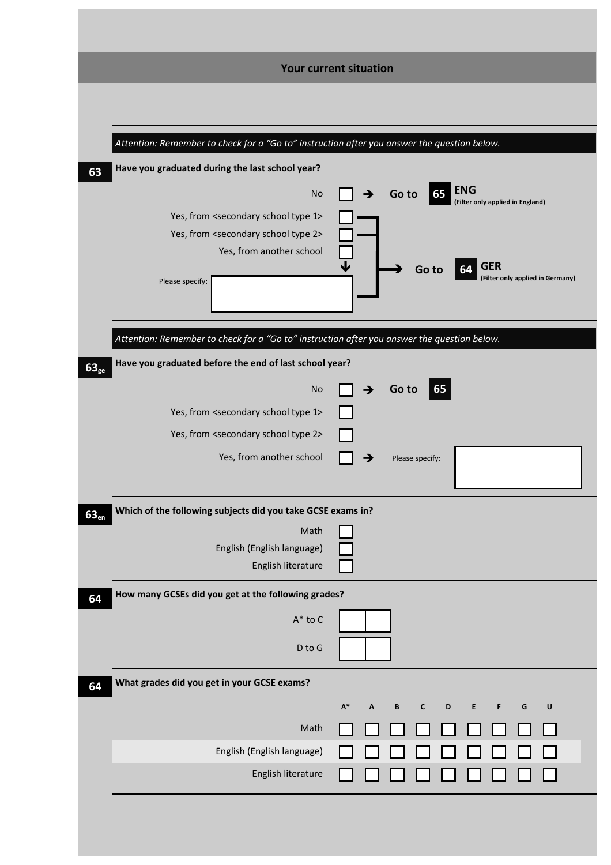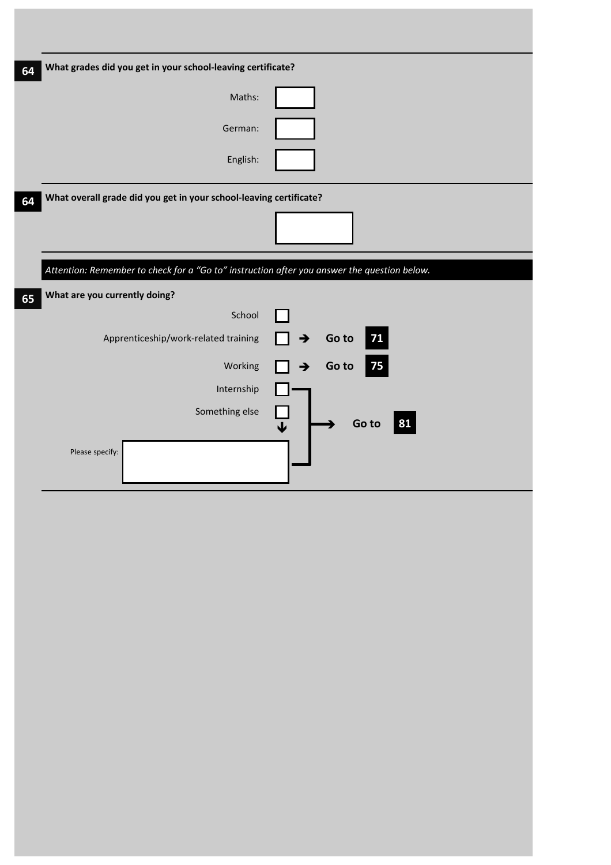| 64 | What grades did you get in your school-leaving certificate?                                 |                              |
|----|---------------------------------------------------------------------------------------------|------------------------------|
|    | Maths:                                                                                      |                              |
|    | German:                                                                                     |                              |
|    | English:                                                                                    |                              |
| 64 | What overall grade did you get in your school-leaving certificate?                          |                              |
|    |                                                                                             |                              |
|    | Attention: Remember to check for a "Go to" instruction after you answer the question below. |                              |
| 65 | What are you currently doing?                                                               |                              |
|    | School                                                                                      |                              |
|    | Apprenticeship/work-related training                                                        | 71<br>Go to<br>→             |
|    | Working                                                                                     | 75<br>Go to<br>$\rightarrow$ |
|    | Internship                                                                                  |                              |
|    | Something else                                                                              | Go to<br>81<br>↓             |
|    | Please specify:                                                                             |                              |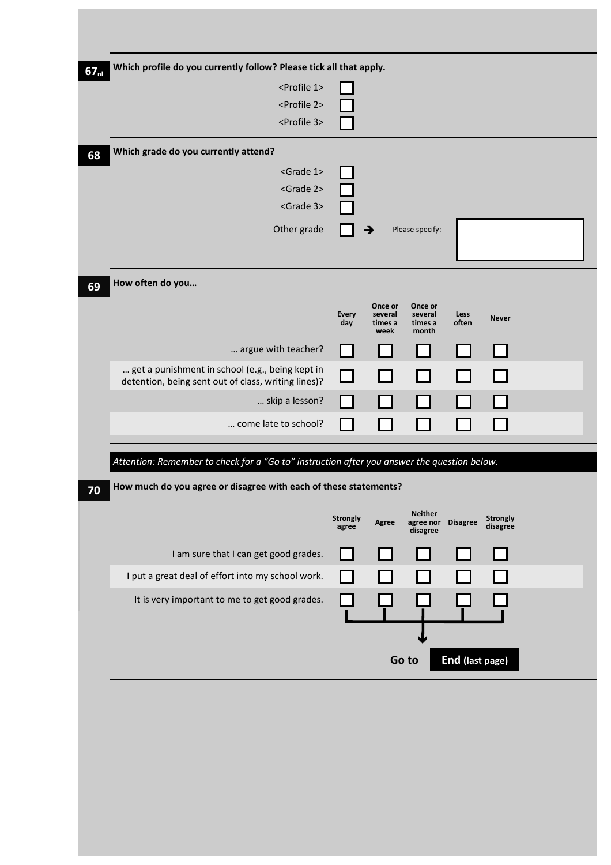| Which profile do you currently follow? Please tick all that apply.<br>67 <sub>nl</sub>      |                     |                                       |                                        |                 |              |  |
|---------------------------------------------------------------------------------------------|---------------------|---------------------------------------|----------------------------------------|-----------------|--------------|--|
| <profile 1=""></profile>                                                                    |                     |                                       |                                        |                 |              |  |
| <profile 2=""></profile>                                                                    |                     |                                       |                                        |                 |              |  |
| <profile 3=""></profile>                                                                    |                     |                                       |                                        |                 |              |  |
| Which grade do you currently attend?                                                        |                     |                                       |                                        |                 |              |  |
| <grade 1=""></grade>                                                                        |                     |                                       |                                        |                 |              |  |
| <grade 2=""></grade>                                                                        |                     |                                       |                                        |                 |              |  |
| <grade 3=""></grade>                                                                        |                     |                                       |                                        |                 |              |  |
| Other grade                                                                                 |                     | →                                     | Please specify:                        |                 |              |  |
|                                                                                             |                     |                                       |                                        |                 |              |  |
|                                                                                             |                     |                                       |                                        |                 |              |  |
| How often do you                                                                            |                     |                                       |                                        |                 |              |  |
|                                                                                             | <b>Every</b><br>day | Once or<br>several<br>times a<br>week | Once or<br>several<br>times a<br>month | Less<br>often   | <b>Never</b> |  |
| argue with teacher?                                                                         |                     |                                       |                                        |                 |              |  |
| get a punishment in school (e.g., being kept in                                             |                     |                                       |                                        |                 |              |  |
| detention, being sent out of class, writing lines)?                                         |                     |                                       |                                        |                 |              |  |
| skip a lesson?                                                                              |                     |                                       |                                        |                 |              |  |
| come late to school?                                                                        |                     |                                       |                                        |                 |              |  |
|                                                                                             |                     |                                       |                                        |                 |              |  |
| Attention: Remember to check for a "Go to" instruction after you answer the question below. |                     |                                       |                                        |                 |              |  |
| How much do you agree or disagree with each of these statements?                            |                     |                                       |                                        |                 |              |  |
|                                                                                             | <b>Strongly</b>     | Agree                                 | <b>Neither</b><br>agree nor            | <b>Disagree</b> | Strongly     |  |
|                                                                                             | agree               |                                       | disagree                               |                 | disagree     |  |
| I am sure that I can get good grades.                                                       |                     |                                       |                                        |                 |              |  |
| I put a great deal of effort into my school work.                                           |                     |                                       |                                        |                 |              |  |
| It is very important to me to get good grades.                                              |                     |                                       |                                        |                 |              |  |
|                                                                                             |                     |                                       | Go to                                  | End (last page) |              |  |
|                                                                                             |                     |                                       |                                        |                 |              |  |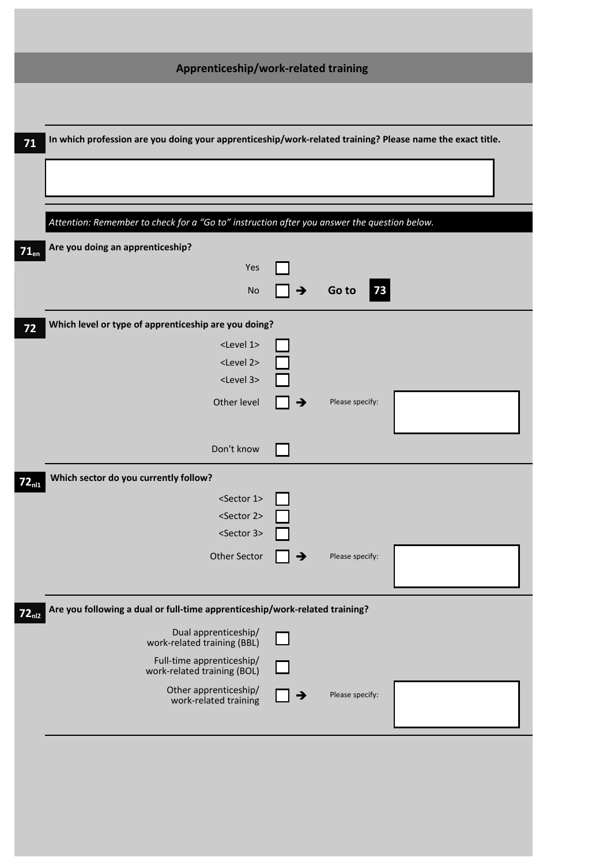| Apprenticeship/work-related training                                                                      |   |                 |  |
|-----------------------------------------------------------------------------------------------------------|---|-----------------|--|
|                                                                                                           |   |                 |  |
| In which profession are you doing your apprenticeship/work-related training? Please name the exact title. |   |                 |  |
|                                                                                                           |   |                 |  |
|                                                                                                           |   |                 |  |
|                                                                                                           |   |                 |  |
| Attention: Remember to check for a "Go to" instruction after you answer the question below.               |   |                 |  |
| Are you doing an apprenticeship?                                                                          |   |                 |  |
| Yes                                                                                                       |   |                 |  |
| No                                                                                                        | → | 73<br>Go to     |  |
| Which level or type of apprenticeship are you doing?                                                      |   |                 |  |
| <level 1=""></level>                                                                                      |   |                 |  |
| <level 2=""></level>                                                                                      |   |                 |  |
| <level 3=""></level>                                                                                      |   |                 |  |
| Other level                                                                                               | → | Please specify: |  |
|                                                                                                           |   |                 |  |
| Don't know                                                                                                |   |                 |  |
| Which sector do you currently follow?                                                                     |   |                 |  |
| <sector 1=""></sector>                                                                                    | ┍ |                 |  |
| <sector 2=""></sector>                                                                                    |   |                 |  |
| <sector 3=""></sector>                                                                                    |   |                 |  |
| Other Sector                                                                                              | → | Please specify: |  |
|                                                                                                           |   |                 |  |
| Are you following a dual or full-time apprenticeship/work-related training?                               |   |                 |  |
| Dual apprenticeship/<br>work-related training (BBL)                                                       |   |                 |  |
| Full-time apprenticeship/<br>work-related training (BOL)                                                  |   |                 |  |
| Other apprenticeship/<br>work-related training                                                            | ∍ | Please specify: |  |
|                                                                                                           |   |                 |  |
|                                                                                                           |   |                 |  |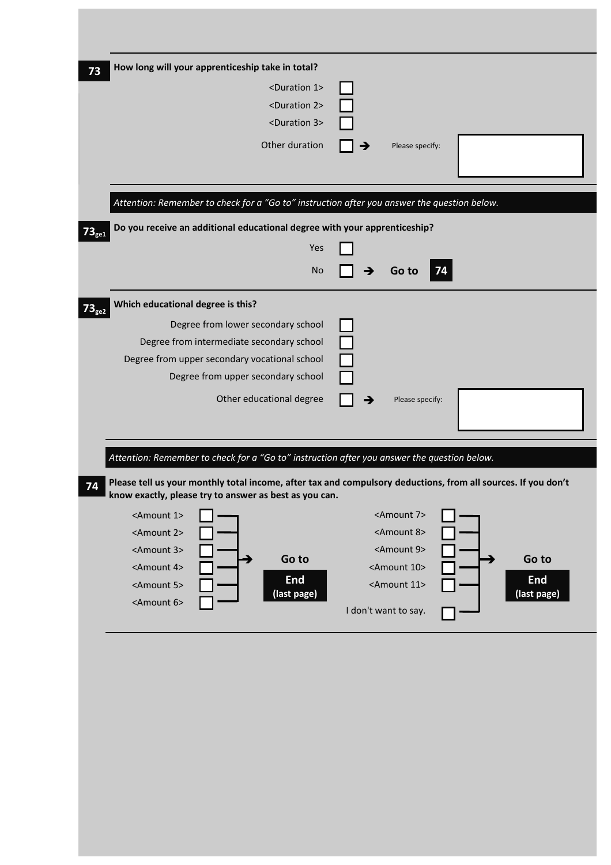| How long will your apprenticeship take in total?<br><duration 1=""><br/><duration 2=""><br/><duration 3=""><br/>Other duration</duration></duration></duration> | Please specify:                                                                                               |
|-----------------------------------------------------------------------------------------------------------------------------------------------------------------|---------------------------------------------------------------------------------------------------------------|
|                                                                                                                                                                 |                                                                                                               |
| Attention: Remember to check for a "Go to" instruction after you answer the question below.                                                                     |                                                                                                               |
| Do you receive an additional educational degree with your apprenticeship?                                                                                       |                                                                                                               |
| Yes                                                                                                                                                             |                                                                                                               |
| <b>No</b>                                                                                                                                                       | Go to<br>74                                                                                                   |
| Which educational degree is this?                                                                                                                               |                                                                                                               |
| Degree from lower secondary school                                                                                                                              |                                                                                                               |
| Degree from intermediate secondary school                                                                                                                       |                                                                                                               |
| Degree from upper secondary vocational school                                                                                                                   |                                                                                                               |
| Degree from upper secondary school                                                                                                                              |                                                                                                               |
|                                                                                                                                                                 |                                                                                                               |
| Other educational degree                                                                                                                                        |                                                                                                               |
|                                                                                                                                                                 | Please specify:                                                                                               |
|                                                                                                                                                                 |                                                                                                               |
|                                                                                                                                                                 |                                                                                                               |
| Attention: Remember to check for a "Go to" instruction after you answer the question below.                                                                     |                                                                                                               |
| know exactly, please try to answer as best as you can.                                                                                                          | Please tell us your monthly total income, after tax and compulsory deductions, from all sources. If you don't |
| <amount 1=""></amount>                                                                                                                                          | <amount 7=""></amount>                                                                                        |
| <amount 2=""></amount>                                                                                                                                          | <amount 8=""></amount>                                                                                        |
| <amount 3=""></amount>                                                                                                                                          | <amount 9=""></amount>                                                                                        |
| Go to<br><amount 4=""></amount>                                                                                                                                 | Go to<br><amount 10=""></amount>                                                                              |
| <b>End</b><br><amount 5=""></amount>                                                                                                                            | <b>End</b><br><amount 11=""></amount>                                                                         |
| (last page)<br><amount 6=""></amount>                                                                                                                           | (last page)<br>I don't want to say.                                                                           |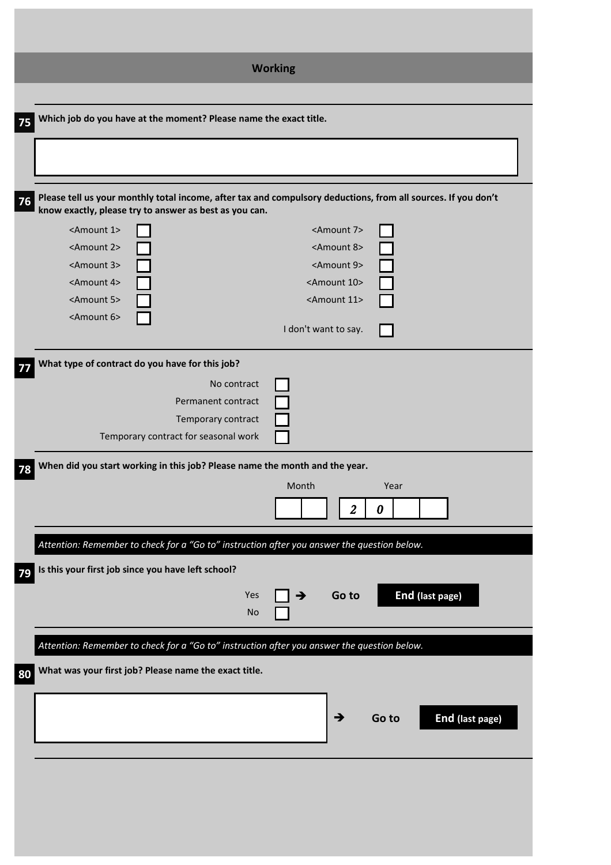| <b>Working</b>                                                                                                                                                                |
|-------------------------------------------------------------------------------------------------------------------------------------------------------------------------------|
| Which job do you have at the moment? Please name the exact title.<br>75                                                                                                       |
|                                                                                                                                                                               |
|                                                                                                                                                                               |
| Please tell us your monthly total income, after tax and compulsory deductions, from all sources. If you don't<br>76<br>know exactly, please try to answer as best as you can. |
| <amount 1=""><br/><amount 7=""></amount></amount>                                                                                                                             |
| <amount 2=""><br/><amount 8=""><br/><amount 3=""><br/><amount 9=""></amount></amount></amount></amount>                                                                       |
| <amount 4=""><br/><amount 10=""></amount></amount>                                                                                                                            |
| <amount 5=""><br/><amount 11=""></amount></amount>                                                                                                                            |
| <amount 6=""><br/>I don't want to say.</amount>                                                                                                                               |
| What type of contract do you have for this job?                                                                                                                               |
| No contract                                                                                                                                                                   |
| Permanent contract<br>Temporary contract                                                                                                                                      |
| Temporary contract for seasonal work                                                                                                                                          |
| When did you start working in this job? Please name the month and the year.<br>78                                                                                             |
| Month<br>Year                                                                                                                                                                 |
| $\overline{2}$<br>$\boldsymbol{\theta}$                                                                                                                                       |
| Attention: Remember to check for a "Go to" instruction after you answer the question below.                                                                                   |
| Is this your first job since you have left school?<br>79                                                                                                                      |
| End (last page)<br>Yes<br>Go to<br>→<br><b>No</b>                                                                                                                             |
| Attention: Remember to check for a "Go to" instruction after you answer the question below.                                                                                   |
| What was your first job? Please name the exact title.<br>80                                                                                                                   |
|                                                                                                                                                                               |
| End (last page)<br>→<br>Go to                                                                                                                                                 |
|                                                                                                                                                                               |
|                                                                                                                                                                               |
|                                                                                                                                                                               |
|                                                                                                                                                                               |